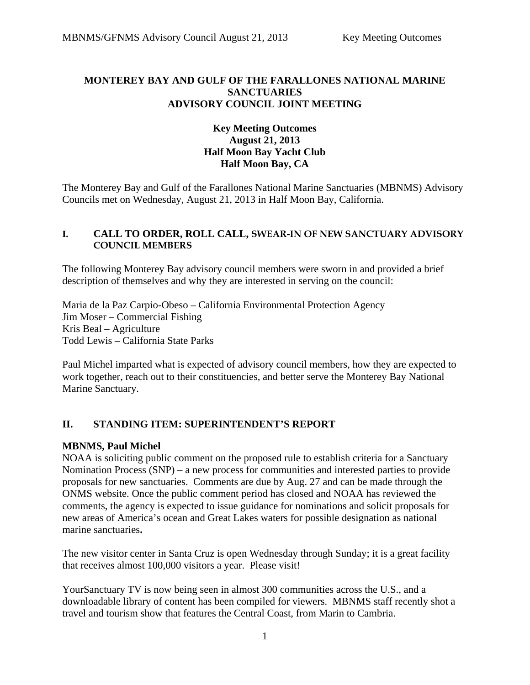### **MONTEREY BAY AND GULF OF THE FARALLONES NATIONAL MARINE SANCTUARIES ADVISORY COUNCIL JOINT MEETING**

### **Key Meeting Outcomes August 21, 2013 Half Moon Bay Yacht Club Half Moon Bay, CA**

The Monterey Bay and Gulf of the Farallones National Marine Sanctuaries (MBNMS) Advisory Councils met on Wednesday, August 21, 2013 in Half Moon Bay, California.

#### **I. CALL TO ORDER, ROLL CALL, SWEAR-IN OF NEW SANCTUARY ADVISORY COUNCIL MEMBERS**

The following Monterey Bay advisory council members were sworn in and provided a brief description of themselves and why they are interested in serving on the council:

Maria de la Paz Carpio-Obeso – California Environmental Protection Agency Jim Moser – Commercial Fishing Kris Beal – Agriculture Todd Lewis – California State Parks

Paul Michel imparted what is expected of advisory council members, how they are expected to work together, reach out to their constituencies, and better serve the Monterey Bay National Marine Sanctuary.

### **II. STANDING ITEM: SUPERINTENDENT'S REPORT**

#### **MBNMS, Paul Michel**

NOAA is soliciting public comment on the proposed rule to establish criteria for a Sanctuary Nomination Process (SNP) – a new process for communities and interested parties to provide proposals for new sanctuaries. Comments are due by Aug. 27 and can be made through the ONMS website. Once the public comment period has closed and NOAA has reviewed the comments, the agency is expected to issue guidance for nominations and solicit proposals for new areas of America's ocean and Great Lakes waters for possible designation as national marine sanctuaries**.**

The new visitor center in Santa Cruz is open Wednesday through Sunday; it is a great facility that receives almost 100,000 visitors a year. Please visit!

YourSanctuary TV is now being seen in almost 300 communities across the U.S., and a downloadable library of content has been compiled for viewers. MBNMS staff recently shot a travel and tourism show that features the Central Coast, from Marin to Cambria.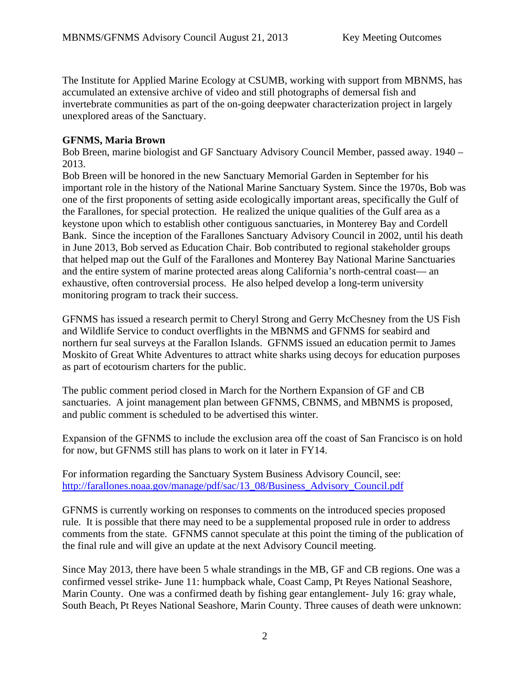The Institute for Applied Marine Ecology at CSUMB, working with support from MBNMS, has accumulated an extensive archive of video and still photographs of demersal fish and invertebrate communities as part of the on-going deepwater characterization project in largely unexplored areas of the Sanctuary.

#### **GFNMS, Maria Brown**

Bob Breen, marine biologist and GF Sanctuary Advisory Council Member, passed away. 1940 – 2013.

Bob Breen will be honored in the new Sanctuary Memorial Garden in September for his important role in the history of the National Marine Sanctuary System. Since the 1970s, Bob was one of the first proponents of setting aside ecologically important areas, specifically the Gulf of the Farallones, for special protection. He realized the unique qualities of the Gulf area as a keystone upon which to establish other contiguous sanctuaries, in Monterey Bay and Cordell Bank. Since the inception of the Farallones Sanctuary Advisory Council in 2002, until his death in June 2013, Bob served as Education Chair. Bob contributed to regional stakeholder groups that helped map out the Gulf of the Farallones and Monterey Bay National Marine Sanctuaries and the entire system of marine protected areas along California's north-central coast— an exhaustive, often controversial process. He also helped develop a long-term university monitoring program to track their success.

GFNMS has issued a research permit to Cheryl Strong and Gerry McChesney from the US Fish and Wildlife Service to conduct overflights in the MBNMS and GFNMS for seabird and northern fur seal surveys at the Farallon Islands. GFNMS issued an education permit to James Moskito of Great White Adventures to attract white sharks using decoys for education purposes as part of ecotourism charters for the public.

The public comment period closed in March for the Northern Expansion of GF and CB sanctuaries. A joint management plan between GFNMS, CBNMS, and MBNMS is proposed, and public comment is scheduled to be advertised this winter.

Expansion of the GFNMS to include the exclusion area off the coast of San Francisco is on hold for now, but GFNMS still has plans to work on it later in FY14.

For information regarding the Sanctuary System Business Advisory Council, see: http://farallones.noaa.gov/manage/pdf/sac/13\_08/Business\_Advisory\_Council.pdf

GFNMS is currently working on responses to comments on the introduced species proposed rule. It is possible that there may need to be a supplemental proposed rule in order to address comments from the state. GFNMS cannot speculate at this point the timing of the publication of the final rule and will give an update at the next Advisory Council meeting.

Since May 2013, there have been 5 whale strandings in the MB, GF and CB regions. One was a confirmed vessel strike- June 11: humpback whale, Coast Camp, Pt Reyes National Seashore, Marin County. One was a confirmed death by fishing gear entanglement- July 16: gray whale, South Beach, Pt Reyes National Seashore, Marin County. Three causes of death were unknown: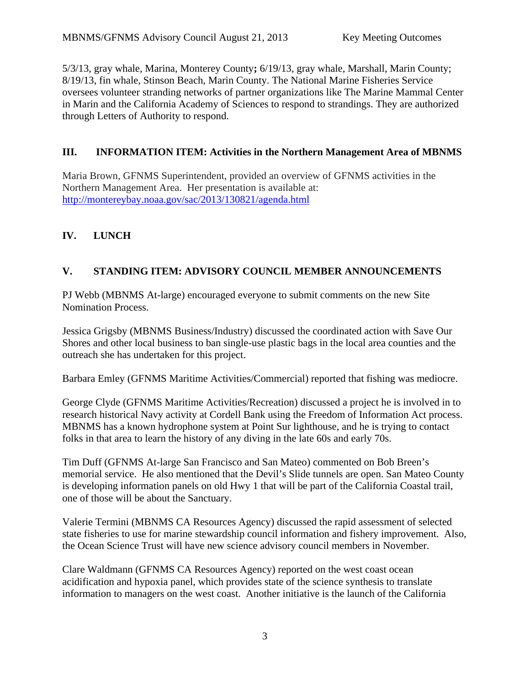5/3/13, gray whale, Marina, Monterey County**;** 6/19/13, gray whale, Marshall, Marin County; 8/19/13, fin whale, Stinson Beach, Marin County. The National Marine Fisheries Service oversees volunteer stranding networks of partner organizations like The Marine Mammal Center in Marin and the California Academy of Sciences to respond to strandings. They are authorized through Letters of Authority to respond.

## **III. INFORMATION ITEM: Activities in the Northern Management Area of MBNMS**

Maria Brown, GFNMS Superintendent, provided an overview of GFNMS activities in the Northern Management Area. Her presentation is available at: http://montereybay.noaa.gov/sac/2013/130821/agenda.html

# **IV. LUNCH**

## **V. STANDING ITEM: ADVISORY COUNCIL MEMBER ANNOUNCEMENTS**

PJ Webb (MBNMS At-large) encouraged everyone to submit comments on the new Site Nomination Process.

Jessica Grigsby (MBNMS Business/Industry) discussed the coordinated action with Save Our Shores and other local business to ban single-use plastic bags in the local area counties and the outreach she has undertaken for this project.

Barbara Emley (GFNMS Maritime Activities/Commercial) reported that fishing was mediocre.

George Clyde (GFNMS Maritime Activities/Recreation) discussed a project he is involved in to research historical Navy activity at Cordell Bank using the Freedom of Information Act process. MBNMS has a known hydrophone system at Point Sur lighthouse, and he is trying to contact folks in that area to learn the history of any diving in the late 60s and early 70s.

Tim Duff (GFNMS At-large San Francisco and San Mateo) commented on Bob Breen's memorial service. He also mentioned that the Devil's Slide tunnels are open. San Mateo County is developing information panels on old Hwy 1 that will be part of the California Coastal trail, one of those will be about the Sanctuary.

Valerie Termini (MBNMS CA Resources Agency) discussed the rapid assessment of selected state fisheries to use for marine stewardship council information and fishery improvement. Also, the Ocean Science Trust will have new science advisory council members in November.

Clare Waldmann (GFNMS CA Resources Agency) reported on the west coast ocean acidification and hypoxia panel, which provides state of the science synthesis to translate information to managers on the west coast. Another initiative is the launch of the California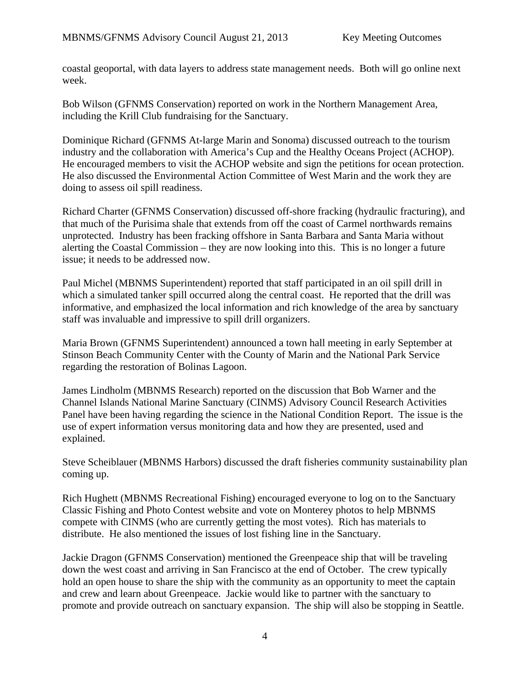coastal geoportal, with data layers to address state management needs. Both will go online next week.

Bob Wilson (GFNMS Conservation) reported on work in the Northern Management Area, including the Krill Club fundraising for the Sanctuary.

Dominique Richard (GFNMS At-large Marin and Sonoma) discussed outreach to the tourism industry and the collaboration with America's Cup and the Healthy Oceans Project (ACHOP). He encouraged members to visit the ACHOP website and sign the petitions for ocean protection. He also discussed the Environmental Action Committee of West Marin and the work they are doing to assess oil spill readiness.

Richard Charter (GFNMS Conservation) discussed off-shore fracking (hydraulic fracturing), and that much of the Purisima shale that extends from off the coast of Carmel northwards remains unprotected. Industry has been fracking offshore in Santa Barbara and Santa Maria without alerting the Coastal Commission – they are now looking into this. This is no longer a future issue; it needs to be addressed now.

Paul Michel (MBNMS Superintendent) reported that staff participated in an oil spill drill in which a simulated tanker spill occurred along the central coast. He reported that the drill was informative, and emphasized the local information and rich knowledge of the area by sanctuary staff was invaluable and impressive to spill drill organizers.

Maria Brown (GFNMS Superintendent) announced a town hall meeting in early September at Stinson Beach Community Center with the County of Marin and the National Park Service regarding the restoration of Bolinas Lagoon.

James Lindholm (MBNMS Research) reported on the discussion that Bob Warner and the Channel Islands National Marine Sanctuary (CINMS) Advisory Council Research Activities Panel have been having regarding the science in the National Condition Report. The issue is the use of expert information versus monitoring data and how they are presented, used and explained.

Steve Scheiblauer (MBNMS Harbors) discussed the draft fisheries community sustainability plan coming up.

Rich Hughett (MBNMS Recreational Fishing) encouraged everyone to log on to the Sanctuary Classic Fishing and Photo Contest website and vote on Monterey photos to help MBNMS compete with CINMS (who are currently getting the most votes). Rich has materials to distribute. He also mentioned the issues of lost fishing line in the Sanctuary.

Jackie Dragon (GFNMS Conservation) mentioned the Greenpeace ship that will be traveling down the west coast and arriving in San Francisco at the end of October. The crew typically hold an open house to share the ship with the community as an opportunity to meet the captain and crew and learn about Greenpeace. Jackie would like to partner with the sanctuary to promote and provide outreach on sanctuary expansion. The ship will also be stopping in Seattle.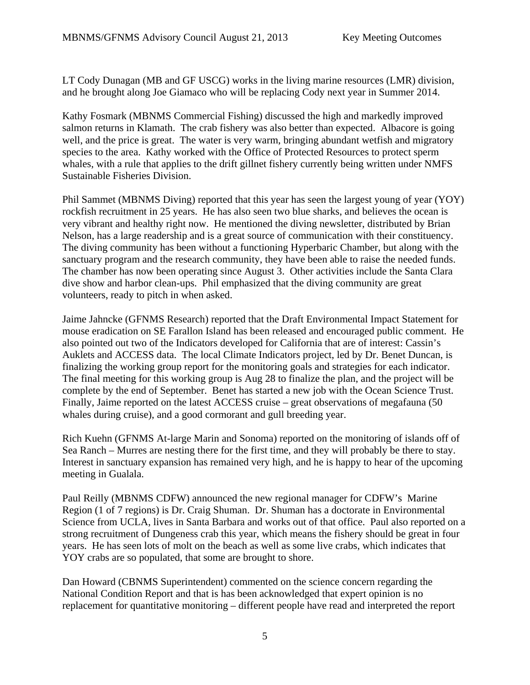LT Cody Dunagan (MB and GF USCG) works in the living marine resources (LMR) division, and he brought along Joe Giamaco who will be replacing Cody next year in Summer 2014.

Kathy Fosmark (MBNMS Commercial Fishing) discussed the high and markedly improved salmon returns in Klamath. The crab fishery was also better than expected. Albacore is going well, and the price is great. The water is very warm, bringing abundant wetfish and migratory species to the area. Kathy worked with the Office of Protected Resources to protect sperm whales, with a rule that applies to the drift gillnet fishery currently being written under NMFS Sustainable Fisheries Division.

Phil Sammet (MBNMS Diving) reported that this year has seen the largest young of year (YOY) rockfish recruitment in 25 years. He has also seen two blue sharks, and believes the ocean is very vibrant and healthy right now. He mentioned the diving newsletter, distributed by Brian Nelson, has a large readership and is a great source of communication with their constituency. The diving community has been without a functioning Hyperbaric Chamber, but along with the sanctuary program and the research community, they have been able to raise the needed funds. The chamber has now been operating since August 3. Other activities include the Santa Clara dive show and harbor clean-ups. Phil emphasized that the diving community are great volunteers, ready to pitch in when asked.

Jaime Jahncke (GFNMS Research) reported that the Draft Environmental Impact Statement for mouse eradication on SE Farallon Island has been released and encouraged public comment. He also pointed out two of the Indicators developed for California that are of interest: Cassin's Auklets and ACCESS data. The local Climate Indicators project, led by Dr. Benet Duncan, is finalizing the working group report for the monitoring goals and strategies for each indicator. The final meeting for this working group is Aug 28 to finalize the plan, and the project will be complete by the end of September. Benet has started a new job with the Ocean Science Trust. Finally, Jaime reported on the latest ACCESS cruise – great observations of megafauna (50 whales during cruise), and a good cormorant and gull breeding year.

Rich Kuehn (GFNMS At-large Marin and Sonoma) reported on the monitoring of islands off of Sea Ranch – Murres are nesting there for the first time, and they will probably be there to stay. Interest in sanctuary expansion has remained very high, and he is happy to hear of the upcoming meeting in Gualala.

Paul Reilly (MBNMS CDFW) announced the new regional manager for CDFW's Marine Region (1 of 7 regions) is Dr. Craig Shuman. Dr. Shuman has a doctorate in Environmental Science from UCLA, lives in Santa Barbara and works out of that office. Paul also reported on a strong recruitment of Dungeness crab this year, which means the fishery should be great in four years. He has seen lots of molt on the beach as well as some live crabs, which indicates that YOY crabs are so populated, that some are brought to shore.

Dan Howard (CBNMS Superintendent) commented on the science concern regarding the National Condition Report and that is has been acknowledged that expert opinion is no replacement for quantitative monitoring – different people have read and interpreted the report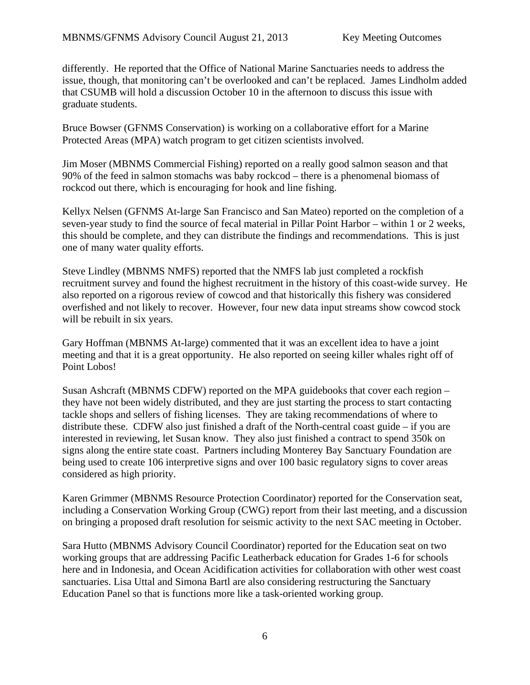differently. He reported that the Office of National Marine Sanctuaries needs to address the issue, though, that monitoring can't be overlooked and can't be replaced. James Lindholm added that CSUMB will hold a discussion October 10 in the afternoon to discuss this issue with graduate students.

Bruce Bowser (GFNMS Conservation) is working on a collaborative effort for a Marine Protected Areas (MPA) watch program to get citizen scientists involved.

Jim Moser (MBNMS Commercial Fishing) reported on a really good salmon season and that 90% of the feed in salmon stomachs was baby rockcod – there is a phenomenal biomass of rockcod out there, which is encouraging for hook and line fishing.

Kellyx Nelsen (GFNMS At-large San Francisco and San Mateo) reported on the completion of a seven-year study to find the source of fecal material in Pillar Point Harbor – within 1 or 2 weeks, this should be complete, and they can distribute the findings and recommendations. This is just one of many water quality efforts.

Steve Lindley (MBNMS NMFS) reported that the NMFS lab just completed a rockfish recruitment survey and found the highest recruitment in the history of this coast-wide survey. He also reported on a rigorous review of cowcod and that historically this fishery was considered overfished and not likely to recover. However, four new data input streams show cowcod stock will be rebuilt in six years.

Gary Hoffman (MBNMS At-large) commented that it was an excellent idea to have a joint meeting and that it is a great opportunity. He also reported on seeing killer whales right off of Point Lobos!

Susan Ashcraft (MBNMS CDFW) reported on the MPA guidebooks that cover each region – they have not been widely distributed, and they are just starting the process to start contacting tackle shops and sellers of fishing licenses. They are taking recommendations of where to distribute these. CDFW also just finished a draft of the North-central coast guide – if you are interested in reviewing, let Susan know. They also just finished a contract to spend 350k on signs along the entire state coast. Partners including Monterey Bay Sanctuary Foundation are being used to create 106 interpretive signs and over 100 basic regulatory signs to cover areas considered as high priority.

Karen Grimmer (MBNMS Resource Protection Coordinator) reported for the Conservation seat, including a Conservation Working Group (CWG) report from their last meeting, and a discussion on bringing a proposed draft resolution for seismic activity to the next SAC meeting in October.

Sara Hutto (MBNMS Advisory Council Coordinator) reported for the Education seat on two working groups that are addressing Pacific Leatherback education for Grades 1-6 for schools here and in Indonesia, and Ocean Acidification activities for collaboration with other west coast sanctuaries. Lisa Uttal and Simona Bartl are also considering restructuring the Sanctuary Education Panel so that is functions more like a task-oriented working group.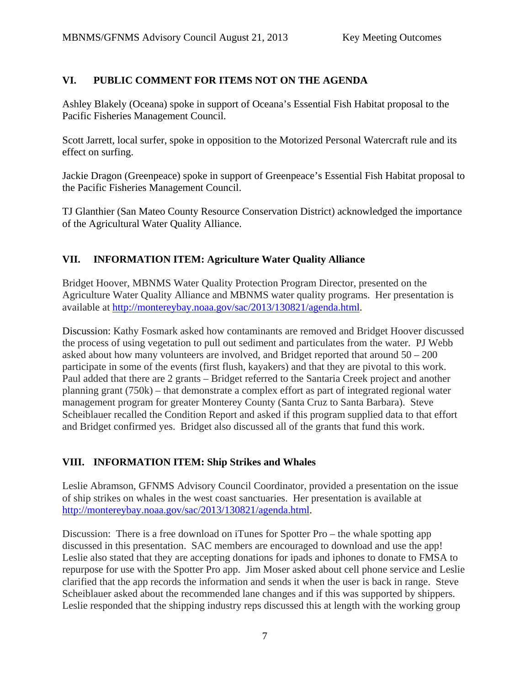### **VI. PUBLIC COMMENT FOR ITEMS NOT ON THE AGENDA**

Ashley Blakely (Oceana) spoke in support of Oceana's Essential Fish Habitat proposal to the Pacific Fisheries Management Council.

Scott Jarrett, local surfer, spoke in opposition to the Motorized Personal Watercraft rule and its effect on surfing.

Jackie Dragon (Greenpeace) spoke in support of Greenpeace's Essential Fish Habitat proposal to the Pacific Fisheries Management Council.

TJ Glanthier (San Mateo County Resource Conservation District) acknowledged the importance of the Agricultural Water Quality Alliance.

### **VII. INFORMATION ITEM: Agriculture Water Quality Alliance**

Bridget Hoover, MBNMS Water Quality Protection Program Director, presented on the Agriculture Water Quality Alliance and MBNMS water quality programs. Her presentation is available at http://montereybay.noaa.gov/sac/2013/130821/agenda.html.

Discussion: Kathy Fosmark asked how contaminants are removed and Bridget Hoover discussed the process of using vegetation to pull out sediment and particulates from the water. PJ Webb asked about how many volunteers are involved, and Bridget reported that around 50 – 200 participate in some of the events (first flush, kayakers) and that they are pivotal to this work. Paul added that there are 2 grants – Bridget referred to the Santaria Creek project and another planning grant (750k) – that demonstrate a complex effort as part of integrated regional water management program for greater Monterey County (Santa Cruz to Santa Barbara). Steve Scheiblauer recalled the Condition Report and asked if this program supplied data to that effort and Bridget confirmed yes. Bridget also discussed all of the grants that fund this work.

### **VIII. INFORMATION ITEM: Ship Strikes and Whales**

Leslie Abramson, GFNMS Advisory Council Coordinator, provided a presentation on the issue of ship strikes on whales in the west coast sanctuaries. Her presentation is available at http://montereybay.noaa.gov/sac/2013/130821/agenda.html.

Discussion: There is a free download on iTunes for Spotter Pro – the whale spotting app discussed in this presentation. SAC members are encouraged to download and use the app! Leslie also stated that they are accepting donations for ipads and iphones to donate to FMSA to repurpose for use with the Spotter Pro app. Jim Moser asked about cell phone service and Leslie clarified that the app records the information and sends it when the user is back in range. Steve Scheiblauer asked about the recommended lane changes and if this was supported by shippers. Leslie responded that the shipping industry reps discussed this at length with the working group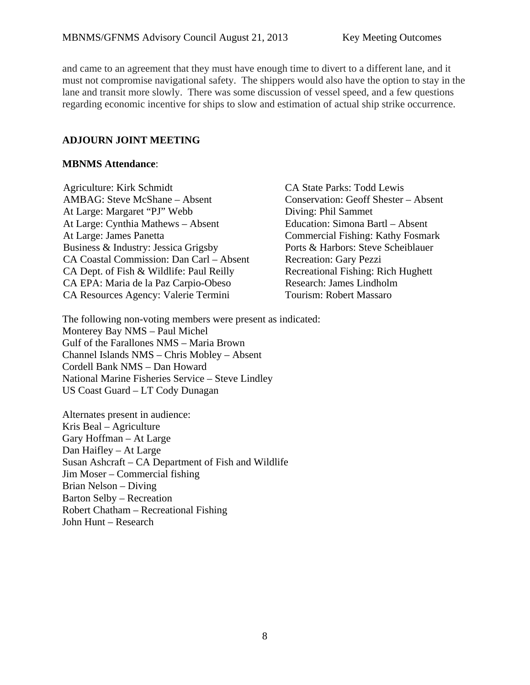and came to an agreement that they must have enough time to divert to a different lane, and it must not compromise navigational safety. The shippers would also have the option to stay in the lane and transit more slowly. There was some discussion of vessel speed, and a few questions regarding economic incentive for ships to slow and estimation of actual ship strike occurrence.

#### **ADJOURN JOINT MEETING**

#### **MBNMS Attendance**:

Agriculture: Kirk Schmidt CA State Parks: Todd Lewis AMBAG: Steve McShane – Absent Conservation: Geoff Shester – Absent At Large: Margaret "PJ" Webb Diving: Phil Sammet At Large: Cynthia Mathews – Absent Education: Simona Bartl – Absent At Large: James Panetta Commercial Fishing: Kathy Fosma Business & Industry: Jessica Grigsby Ports & Harbors: Steve Scheiblauer CA Coastal Commission: Dan Carl – Absent Recreation: Gary Pezzi CA Dept. of Fish & Wildlife: Paul Reilly Recreational Fishing: Rich Hughett CA EPA: Maria de la Paz Carpio-Obeso Research: James Lindholm CA Resources Agency: Valerie Termini Tourism: Robert Massaro

Commercial Fishing: Kathy Fosmark

The following non-voting members were present as indicated: Monterey Bay NMS – Paul Michel Gulf of the Farallones NMS – Maria Brown Channel Islands NMS – Chris Mobley – Absent Cordell Bank NMS – Dan Howard National Marine Fisheries Service – Steve Lindley US Coast Guard – LT Cody Dunagan

Alternates present in audience: Kris Beal – Agriculture Gary Hoffman – At Large Dan Haifley – At Large Susan Ashcraft – CA Department of Fish and Wildlife Jim Moser – Commercial fishing Brian Nelson – Diving Barton Selby – Recreation Robert Chatham – Recreational Fishing John Hunt – Research